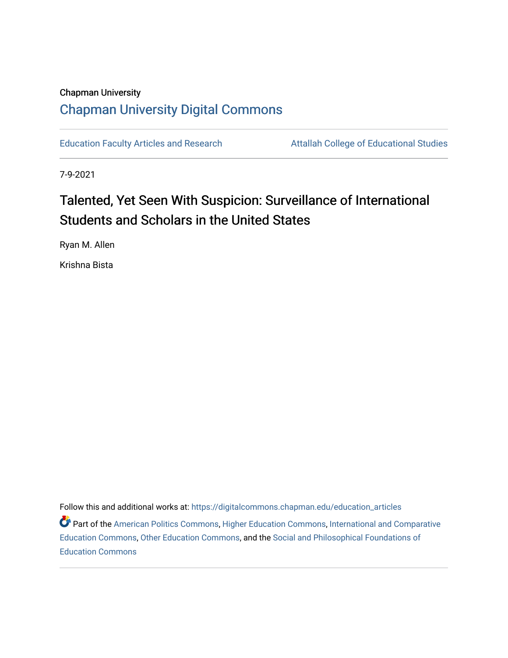# Chapman University [Chapman University Digital Commons](https://digitalcommons.chapman.edu/)

[Education Faculty Articles and Research](https://digitalcommons.chapman.edu/education_articles) **Attallah College of Educational Studies** 

7-9-2021

# Talented, Yet Seen With Suspicion: Surveillance of International Students and Scholars in the United States

Ryan M. Allen

Krishna Bista

Follow this and additional works at: [https://digitalcommons.chapman.edu/education\\_articles](https://digitalcommons.chapman.edu/education_articles?utm_source=digitalcommons.chapman.edu%2Feducation_articles%2F329&utm_medium=PDF&utm_campaign=PDFCoverPages)

**Part of the [American Politics Commons,](http://network.bepress.com/hgg/discipline/387?utm_source=digitalcommons.chapman.edu%2Feducation_articles%2F329&utm_medium=PDF&utm_campaign=PDFCoverPages) [Higher Education Commons,](http://network.bepress.com/hgg/discipline/1245?utm_source=digitalcommons.chapman.edu%2Feducation_articles%2F329&utm_medium=PDF&utm_campaign=PDFCoverPages) [International and Comparative](http://network.bepress.com/hgg/discipline/797?utm_source=digitalcommons.chapman.edu%2Feducation_articles%2F329&utm_medium=PDF&utm_campaign=PDFCoverPages)** [Education Commons,](http://network.bepress.com/hgg/discipline/797?utm_source=digitalcommons.chapman.edu%2Feducation_articles%2F329&utm_medium=PDF&utm_campaign=PDFCoverPages) [Other Education Commons](http://network.bepress.com/hgg/discipline/811?utm_source=digitalcommons.chapman.edu%2Feducation_articles%2F329&utm_medium=PDF&utm_campaign=PDFCoverPages), and the [Social and Philosophical Foundations of](http://network.bepress.com/hgg/discipline/799?utm_source=digitalcommons.chapman.edu%2Feducation_articles%2F329&utm_medium=PDF&utm_campaign=PDFCoverPages) [Education Commons](http://network.bepress.com/hgg/discipline/799?utm_source=digitalcommons.chapman.edu%2Feducation_articles%2F329&utm_medium=PDF&utm_campaign=PDFCoverPages)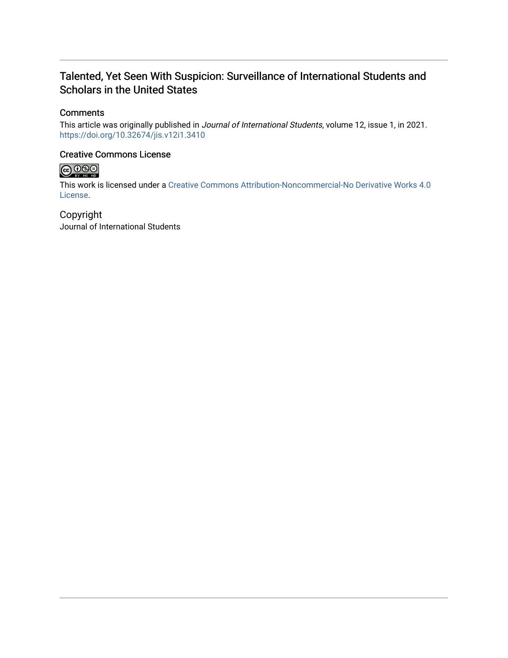### Talented, Yet Seen With Suspicion: Surveillance of International Students and Scholars in the United States

### **Comments**

This article was originally published in Journal of International Students, volume 12, issue 1, in 2021. <https://doi.org/10.32674/jis.v12i1.3410>

### Creative Commons License



This work is licensed under a [Creative Commons Attribution-Noncommercial-No Derivative Works 4.0](https://creativecommons.org/licenses/by-nc-nd/4.0/) [License](https://creativecommons.org/licenses/by-nc-nd/4.0/).

Copyright Journal of International Students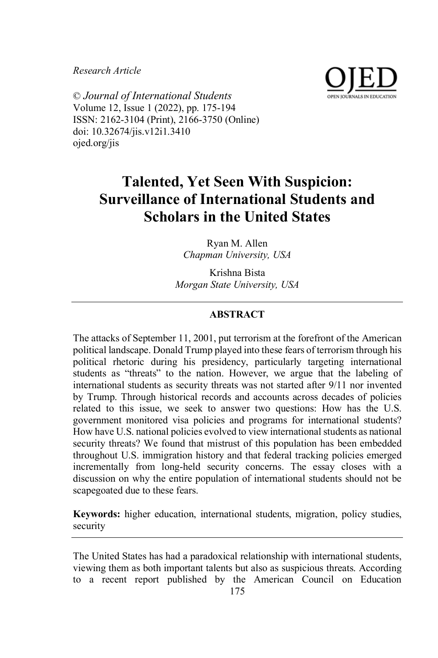*Research Article*



© *Journal of International Students* Volume 12, Issue 1 (2022), pp. 175-194 ISSN: 2162-3104 (Print), 2166-3750 (Online) doi: 10.32674/jis.v12i1.3410 ojed.org/jis

## **Talented, Yet Seen With Suspicion: Surveillance of International Students and Scholars in the United States**

Ryan M. Allen *Chapman University, USA*

Krishna Bista *Morgan State University, USA* 

#### **ABSTRACT**

The attacks of September 11, 2001, put terrorism at the forefront of the American political landscape. Donald Trump played into these fears of terrorism through his political rhetoric during his presidency, particularly targeting international students as "threats" to the nation. However, we argue that the labeling of international students as security threats was not started after 9/11 nor invented by Trump. Through historical records and accounts across decades of policies related to this issue, we seek to answer two questions: How has the U.S. government monitored visa policies and programs for international students? How have U.S. national policies evolved to view international students as national security threats? We found that mistrust of this population has been embedded throughout U.S. immigration history and that federal tracking policies emerged incrementally from long-held security concerns. The essay closes with a discussion on why the entire population of international students should not be scapegoated due to these fears.

**Keywords:** higher education, international students, migration, policy studies, security

The United States has had a paradoxical relationship with international students, viewing them as both important talents but also as suspicious threats. According to a recent report published by the American Council on Education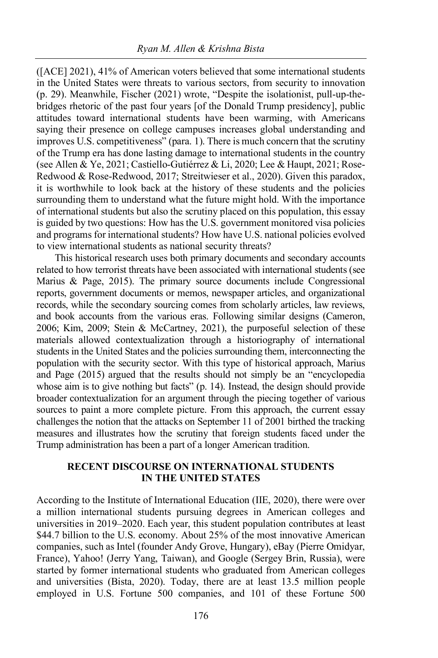([ACE] 2021), 41% of American voters believed that some international students in the United States were threats to various sectors, from security to innovation (p. 29). Meanwhile, Fischer (2021) wrote, "Despite the isolationist, pull-up-thebridges rhetoric of the past four years [of the Donald Trump presidency], public attitudes toward international students have been warming, with Americans saying their presence on college campuses increases global understanding and improves U.S. competitiveness" (para. 1). There is much concern that the scrutiny of the Trump era has done lasting damage to international students in the country (see Allen & Ye, 2021; Castiello-Gutiérrez & Li, 2020; Lee & Haupt, 2021; Rose-Redwood & Rose-Redwood, 2017; Streitwieser et al., 2020). Given this paradox, it is worthwhile to look back at the history of these students and the policies surrounding them to understand what the future might hold. With the importance of international students but also the scrutiny placed on this population, this essay is guided by two questions: How has the U.S. government monitored visa policies and programs for international students? How have U.S. national policies evolved to view international students as national security threats?

This historical research uses both primary documents and secondary accounts related to how terrorist threats have been associated with international students (see Marius & Page, 2015). The primary source documents include Congressional reports, government documents or memos, newspaper articles, and organizational records, while the secondary sourcing comes from scholarly articles, law reviews, and book accounts from the various eras. Following similar designs (Cameron, 2006; Kim, 2009; Stein & McCartney, 2021), the purposeful selection of these materials allowed contextualization through a historiography of international students in the United States and the policies surrounding them, interconnecting the population with the security sector. With this type of historical approach, Marius and Page (2015) argued that the results should not simply be an "encyclopedia whose aim is to give nothing but facts" (p. 14). Instead, the design should provide broader contextualization for an argument through the piecing together of various sources to paint a more complete picture. From this approach, the current essay challenges the notion that the attacks on September 11 of 2001 birthed the tracking measures and illustrates how the scrutiny that foreign students faced under the Trump administration has been a part of a longer American tradition.

#### **RECENT DISCOURSE ON INTERNATIONAL STUDENTS IN THE UNITED STATES**

According to the Institute of International Education (IIE, 2020), there were over a million international students pursuing degrees in American colleges and universities in 2019–2020. Each year, this student population contributes at least \$44.7 billion to the U.S. economy. About 25% of the most innovative American companies, such as Intel (founder Andy Grove, Hungary), eBay (Pierre Omidyar, France), Yahoo! (Jerry Yang, Taiwan), and Google (Sergey Brin, Russia), were started by former international students who graduated from American colleges and universities (Bista, 2020). Today, there are at least 13.5 million people employed in U.S. Fortune 500 companies, and 101 of these Fortune 500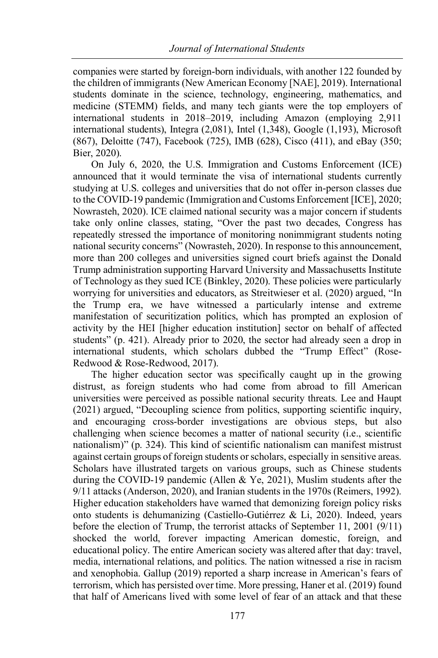companies were started by foreign-born individuals, with another 122 founded by the children of immigrants (New American Economy [NAE], 2019). International students dominate in the science, technology, engineering, mathematics, and medicine (STEMM) fields, and many tech giants were the top employers of international students in 2018–2019, including Amazon (employing 2,911 international students), Integra (2,081), Intel (1,348), Google (1,193), Microsoft (867), Deloitte (747), Facebook (725), IMB (628), Cisco (411), and eBay (350; Bier, 2020).

On July 6, 2020, the U.S. Immigration and Customs Enforcement (ICE) announced that it would terminate the visa of international students currently studying at U.S. colleges and universities that do not offer in-person classes due to the COVID-19 pandemic (Immigration and Customs Enforcement [ICE], 2020; Nowrasteh, 2020). ICE claimed national security was a major concern if students take only online classes, stating, "Over the past two decades, Congress has repeatedly stressed the importance of monitoring nonimmigrant students noting national security concerns" (Nowrasteh, 2020). In response to this announcement, more than 200 colleges and universities signed court briefs against the Donald Trump administration supporting Harvard University and Massachusetts Institute of Technology as they sued ICE (Binkley, 2020). These policies were particularly worrying for universities and educators, as Streitwieser et al. (2020) argued, "In the Trump era, we have witnessed a particularly intense and extreme manifestation of securitization politics, which has prompted an explosion of activity by the HEI [higher education institution] sector on behalf of affected students" (p. 421). Already prior to 2020, the sector had already seen a drop in international students, which scholars dubbed the "Trump Effect" (Rose-Redwood & Rose-Redwood, 2017).

The higher education sector was specifically caught up in the growing distrust, as foreign students who had come from abroad to fill American universities were perceived as possible national security threats. Lee and Haupt (2021) argued, "Decoupling science from politics, supporting scientific inquiry, and encouraging cross-border investigations are obvious steps, but also challenging when science becomes a matter of national security (i.e., scientific nationalism)" (p. 324). This kind of scientific nationalism can manifest mistrust against certain groups of foreign students or scholars, especially in sensitive areas. Scholars have illustrated targets on various groups, such as Chinese students during the COVID-19 pandemic (Allen & Ye, 2021), Muslim students after the 9/11 attacks (Anderson, 2020), and Iranian students in the 1970s (Reimers, 1992). Higher education stakeholders have warned that demonizing foreign policy risks onto students is dehumanizing (Castiello-Gutiérrez & Li, 2020). Indeed, years before the election of Trump, the terrorist attacks of September 11, 2001 (9/11) shocked the world, forever impacting American domestic, foreign, and educational policy. The entire American society was altered after that day: travel, media, international relations, and politics. The nation witnessed a rise in racism and xenophobia. Gallup (2019) reported a sharp increase in American's fears of terrorism, which has persisted over time. More pressing, Haner et al. (2019) found that half of Americans lived with some level of fear of an attack and that these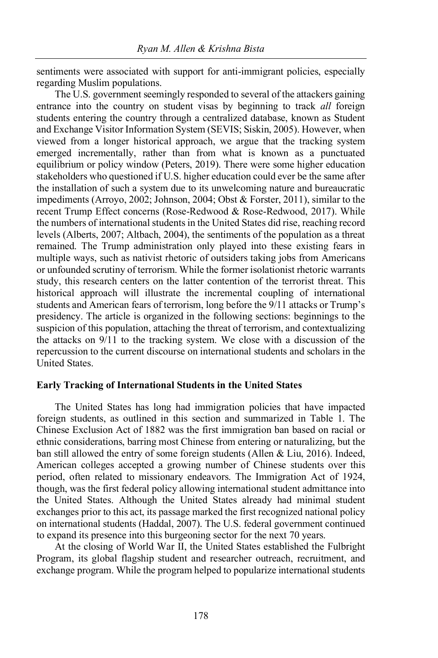sentiments were associated with support for anti-immigrant policies, especially regarding Muslim populations.

The U.S. government seemingly responded to several of the attackers gaining entrance into the country on student visas by beginning to track *all* foreign students entering the country through a centralized database, known as Student and Exchange Visitor Information System (SEVIS; Siskin, 2005). However, when viewed from a longer historical approach, we argue that the tracking system emerged incrementally, rather than from what is known as a punctuated equilibrium or policy window (Peters, 2019). There were some higher education stakeholders who questioned if U.S. higher education could ever be the same after the installation of such a system due to its unwelcoming nature and bureaucratic impediments (Arroyo, 2002; Johnson, 2004; Obst & Forster, 2011), similar to the recent Trump Effect concerns (Rose-Redwood & Rose-Redwood, 2017). While the numbers of international students in the United States did rise, reaching record levels (Alberts, 2007; Altbach, 2004), the sentiments of the population as a threat remained. The Trump administration only played into these existing fears in multiple ways, such as nativist rhetoric of outsiders taking jobs from Americans or unfounded scrutiny of terrorism. While the former isolationist rhetoric warrants study, this research centers on the latter contention of the terrorist threat. This historical approach will illustrate the incremental coupling of international students and American fears of terrorism, long before the 9/11 attacks or Trump's presidency. The article is organized in the following sections: beginnings to the suspicion of this population, attaching the threat of terrorism, and contextualizing the attacks on 9/11 to the tracking system. We close with a discussion of the repercussion to the current discourse on international students and scholars in the United States.

#### **Early Tracking of International Students in the United States**

The United States has long had immigration policies that have impacted foreign students, as outlined in this section and summarized in Table 1. The Chinese Exclusion Act of 1882 was the first immigration ban based on racial or ethnic considerations, barring most Chinese from entering or naturalizing, but the ban still allowed the entry of some foreign students (Allen & Liu, 2016). Indeed, American colleges accepted a growing number of Chinese students over this period, often related to missionary endeavors. The Immigration Act of 1924, though, was the first federal policy allowing international student admittance into the United States. Although the United States already had minimal student exchanges prior to this act, its passage marked the first recognized national policy on international students (Haddal, 2007). The U.S. federal government continued to expand its presence into this burgeoning sector for the next 70 years.

At the closing of World War II, the United States established the Fulbright Program, its global flagship student and researcher outreach, recruitment, and exchange program. While the program helped to popularize international students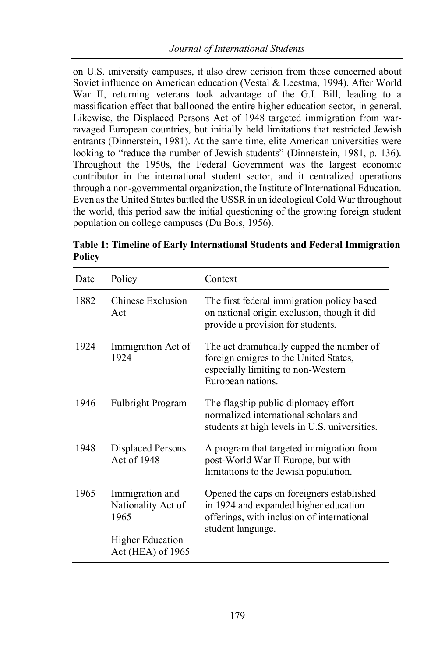on U.S. university campuses, it also drew derision from those concerned about Soviet influence on American education (Vestal & Leestma, 1994). After World War II, returning veterans took advantage of the G.I. Bill, leading to a massification effect that ballooned the entire higher education sector, in general. Likewise, the Displaced Persons Act of 1948 targeted immigration from warravaged European countries, but initially held limitations that restricted Jewish entrants (Dinnerstein, 1981). At the same time, elite American universities were looking to "reduce the number of Jewish students" (Dinnerstein, 1981, p. 136). Throughout the 1950s, the Federal Government was the largest economic contributor in the international student sector, and it centralized operations through a non-governmental organization, the Institute of International Education. Even as the United States battled the USSR in an ideological Cold War throughout the world, this period saw the initial questioning of the growing foreign student population on college campuses (Du Bois, 1956).

| Date | Policy                                        | Context                                                                                                                                               |
|------|-----------------------------------------------|-------------------------------------------------------------------------------------------------------------------------------------------------------|
| 1882 | Chinese Exclusion<br>Act                      | The first federal immigration policy based<br>on national origin exclusion, though it did<br>provide a provision for students.                        |
| 1924 | Immigration Act of<br>1924                    | The act dramatically capped the number of<br>foreign emigres to the United States,<br>especially limiting to non-Western<br>European nations.         |
| 1946 | <b>Fulbright Program</b>                      | The flagship public diplomacy effort<br>normalized international scholars and<br>students at high levels in U.S. universities.                        |
| 1948 | <b>Displaced Persons</b><br>Act of 1948       | A program that targeted immigration from<br>post-World War II Europe, but with<br>limitations to the Jewish population.                               |
| 1965 | Immigration and<br>Nationality Act of<br>1965 | Opened the caps on foreigners established<br>in 1924 and expanded higher education<br>offerings, with inclusion of international<br>student language. |
|      | <b>Higher Education</b><br>Act (HEA) of 1965  |                                                                                                                                                       |

**Table 1: Timeline of Early International Students and Federal Immigration Policy**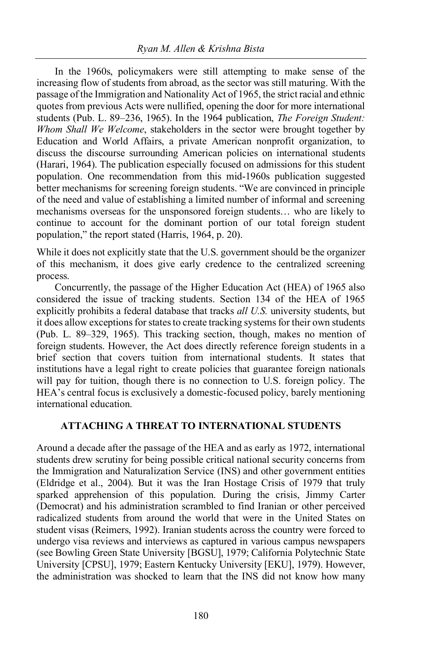In the 1960s, policymakers were still attempting to make sense of the increasing flow of students from abroad, as the sector was still maturing. With the passage of the Immigration and Nationality Act of 1965, the strict racial and ethnic quotes from previous Acts were nullified, opening the door for more international students (Pub. L. 89–236, 1965). In the 1964 publication, *The Foreign Student: Whom Shall We Welcome*, stakeholders in the sector were brought together by Education and World Affairs, a private American nonprofit organization, to discuss the discourse surrounding American policies on international students (Harari, 1964). The publication especially focused on admissions for this student population. One recommendation from this mid-1960s publication suggested better mechanisms for screening foreign students. "We are convinced in principle of the need and value of establishing a limited number of informal and screening mechanisms overseas for the unsponsored foreign students… who are likely to continue to account for the dominant portion of our total foreign student population," the report stated (Harris, 1964, p. 20).

While it does not explicitly state that the U.S. government should be the organizer of this mechanism, it does give early credence to the centralized screening process.

Concurrently, the passage of the Higher Education Act (HEA) of 1965 also considered the issue of tracking students. Section 134 of the HEA of 1965 explicitly prohibits a federal database that tracks *all U.S.* university students, but it does allow exceptions for states to create tracking systems for their own students (Pub. L. 89–329, 1965). This tracking section, though, makes no mention of foreign students. However, the Act does directly reference foreign students in a brief section that covers tuition from international students. It states that institutions have a legal right to create policies that guarantee foreign nationals will pay for tuition, though there is no connection to U.S. foreign policy. The HEA's central focus is exclusively a domestic-focused policy, barely mentioning international education.

#### **ATTACHING A THREAT TO INTERNATIONAL STUDENTS**

Around a decade after the passage of the HEA and as early as 1972, international students drew scrutiny for being possible critical national security concerns from the Immigration and Naturalization Service (INS) and other government entities (Eldridge et al., 2004). But it was the Iran Hostage Crisis of 1979 that truly sparked apprehension of this population. During the crisis, Jimmy Carter (Democrat) and his administration scrambled to find Iranian or other perceived radicalized students from around the world that were in the United States on student visas (Reimers, 1992). Iranian students across the country were forced to undergo visa reviews and interviews as captured in various campus newspapers (see Bowling Green State University [BGSU], 1979; California Polytechnic State University [CPSU], 1979; Eastern Kentucky University [EKU], 1979). However, the administration was shocked to learn that the INS did not know how many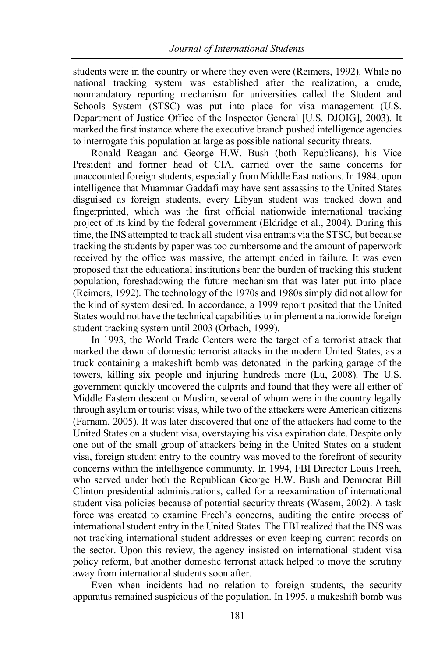students were in the country or where they even were (Reimers, 1992). While no national tracking system was established after the realization, a crude, nonmandatory reporting mechanism for universities called the Student and Schools System (STSC) was put into place for visa management (U.S. Department of Justice Office of the Inspector General [U.S. DJOIG], 2003). It marked the first instance where the executive branch pushed intelligence agencies to interrogate this population at large as possible national security threats.

Ronald Reagan and George H.W. Bush (both Republicans), his Vice President and former head of CIA, carried over the same concerns for unaccounted foreign students, especially from Middle East nations. In 1984, upon intelligence that Muammar Gaddafi may have sent assassins to the United States disguised as foreign students, every Libyan student was tracked down and fingerprinted, which was the first official nationwide international tracking project of its kind by the federal government (Eldridge et al., 2004). During this time, the INS attempted to track all student visa entrants via the STSC, but because tracking the students by paper was too cumbersome and the amount of paperwork received by the office was massive, the attempt ended in failure. It was even proposed that the educational institutions bear the burden of tracking this student population, foreshadowing the future mechanism that was later put into place (Reimers, 1992). The technology of the 1970s and 1980s simply did not allow for the kind of system desired. In accordance, a 1999 report posited that the United States would not have the technical capabilities to implement a nationwide foreign student tracking system until 2003 (Orbach, 1999).

In 1993, the World Trade Centers were the target of a terrorist attack that marked the dawn of domestic terrorist attacks in the modern United States, as a truck containing a makeshift bomb was detonated in the parking garage of the towers, killing six people and injuring hundreds more (Lu, 2008). The U.S. government quickly uncovered the culprits and found that they were all either of Middle Eastern descent or Muslim, several of whom were in the country legally through asylum or tourist visas, while two of the attackers were American citizens (Farnam, 2005). It was later discovered that one of the attackers had come to the United States on a student visa, overstaying his visa expiration date. Despite only one out of the small group of attackers being in the United States on a student visa, foreign student entry to the country was moved to the forefront of security concerns within the intelligence community. In 1994, FBI Director Louis Freeh, who served under both the Republican George H.W. Bush and Democrat Bill Clinton presidential administrations, called for a reexamination of international student visa policies because of potential security threats (Wasem, 2002). A task force was created to examine Freeh's concerns, auditing the entire process of international student entry in the United States. The FBI realized that the INS was not tracking international student addresses or even keeping current records on the sector. Upon this review, the agency insisted on international student visa policy reform, but another domestic terrorist attack helped to move the scrutiny away from international students soon after.

Even when incidents had no relation to foreign students, the security apparatus remained suspicious of the population. In 1995, a makeshift bomb was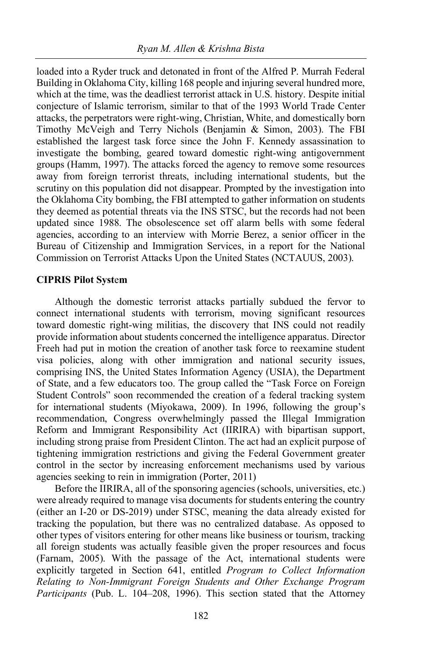loaded into a Ryder truck and detonated in front of the Alfred P. Murrah Federal Building in Oklahoma City, killing 168 people and injuring several hundred more, which at the time, was the deadliest terrorist attack in U.S. history. Despite initial conjecture of Islamic terrorism, similar to that of the 1993 World Trade Center attacks, the perpetrators were right-wing, Christian, White, and domestically born Timothy McVeigh and Terry Nichols (Benjamin & Simon, 2003). The FBI established the largest task force since the John F. Kennedy assassination to investigate the bombing, geared toward domestic right-wing antigovernment groups (Hamm, 1997). The attacks forced the agency to remove some resources away from foreign terrorist threats, including international students, but the scrutiny on this population did not disappear. Prompted by the investigation into the Oklahoma City bombing, the FBI attempted to gather information on students they deemed as potential threats via the INS STSC, but the records had not been updated since 1988. The obsolescence set off alarm bells with some federal agencies, according to an interview with Morrie Berez, a senior officer in the Bureau of Citizenship and Immigration Services, in a report for the National Commission on Terrorist Attacks Upon the United States (NCTAUUS, 2003).

#### **CIPRIS Pilot Syst**e**m**

Although the domestic terrorist attacks partially subdued the fervor to connect international students with terrorism, moving significant resources toward domestic right-wing militias, the discovery that INS could not readily provide information about students concerned the intelligence apparatus. Director Freeh had put in motion the creation of another task force to reexamine student visa policies, along with other immigration and national security issues, comprising INS, the United States Information Agency (USIA), the Department of State, and a few educators too. The group called the "Task Force on Foreign Student Controls" soon recommended the creation of a federal tracking system for international students (Miyokawa, 2009). In 1996, following the group's recommendation, Congress overwhelmingly passed the Illegal Immigration Reform and Immigrant Responsibility Act (IIRIRA) with bipartisan support, including strong praise from President Clinton. The act had an explicit purpose of tightening immigration restrictions and giving the Federal Government greater control in the sector by increasing enforcement mechanisms used by various agencies seeking to rein in immigration (Porter, 2011)

Before the IIRIRA, all of the sponsoring agencies (schools, universities, etc.) were already required to manage visa documents for students entering the country (either an I-20 or DS-2019) under STSC, meaning the data already existed for tracking the population, but there was no centralized database. As opposed to other types of visitors entering for other means like business or tourism, tracking all foreign students was actually feasible given the proper resources and focus (Farnam, 2005). With the passage of the Act, international students were explicitly targeted in Section 641, entitled *Program to Collect Information Relating to Non-Immigrant Foreign Students and Other Exchange Program Participants* (Pub. L. 104–208, 1996). This section stated that the Attorney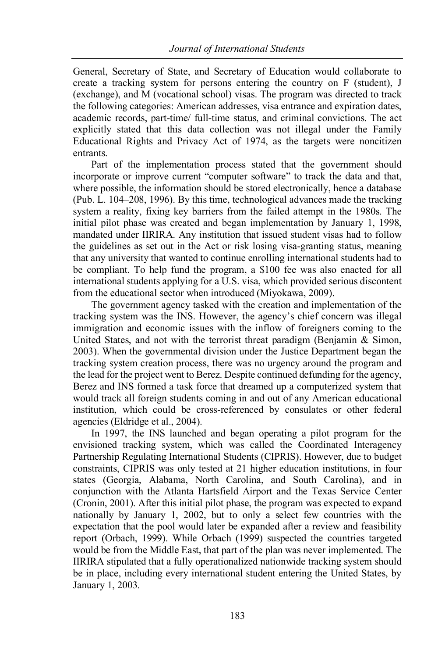General, Secretary of State, and Secretary of Education would collaborate to create a tracking system for persons entering the country on F (student), J (exchange), and M (vocational school) visas. The program was directed to track the following categories: American addresses, visa entrance and expiration dates, academic records, part-time/ full-time status, and criminal convictions. The act explicitly stated that this data collection was not illegal under the Family Educational Rights and Privacy Act of 1974, as the targets were noncitizen entrants.

Part of the implementation process stated that the government should incorporate or improve current "computer software" to track the data and that, where possible, the information should be stored electronically, hence a database (Pub. L. 104–208, 1996). By this time, technological advances made the tracking system a reality, fixing key barriers from the failed attempt in the 1980s. The initial pilot phase was created and began implementation by January 1, 1998, mandated under IIRIRA. Any institution that issued student visas had to follow the guidelines as set out in the Act or risk losing visa-granting status, meaning that any university that wanted to continue enrolling international students had to be compliant. To help fund the program, a \$100 fee was also enacted for all international students applying for a U.S. visa, which provided serious discontent from the educational sector when introduced (Miyokawa, 2009).

The government agency tasked with the creation and implementation of the tracking system was the INS. However, the agency's chief concern was illegal immigration and economic issues with the inflow of foreigners coming to the United States, and not with the terrorist threat paradigm (Benjamin & Simon, 2003). When the governmental division under the Justice Department began the tracking system creation process, there was no urgency around the program and the lead for the project went to Berez. Despite continued defunding for the agency, Berez and INS formed a task force that dreamed up a computerized system that would track all foreign students coming in and out of any American educational institution, which could be cross-referenced by consulates or other federal agencies (Eldridge et al., 2004).

In 1997, the INS launched and began operating a pilot program for the envisioned tracking system, which was called the Coordinated Interagency Partnership Regulating International Students (CIPRIS). However, due to budget constraints, CIPRIS was only tested at 21 higher education institutions, in four states (Georgia, Alabama, North Carolina, and South Carolina), and in conjunction with the Atlanta Hartsfield Airport and the Texas Service Center (Cronin, 2001). After this initial pilot phase, the program was expected to expand nationally by January 1, 2002, but to only a select few countries with the expectation that the pool would later be expanded after a review and feasibility report (Orbach, 1999). While Orbach (1999) suspected the countries targeted would be from the Middle East, that part of the plan was never implemented. The IIRIRA stipulated that a fully operationalized nationwide tracking system should be in place, including every international student entering the United States, by January 1, 2003.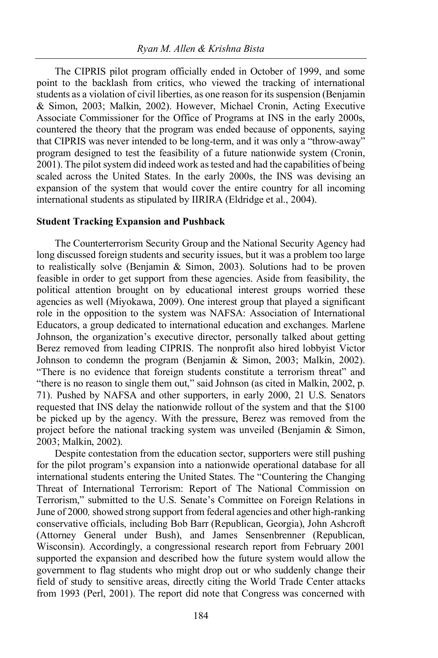The CIPRIS pilot program officially ended in October of 1999, and some point to the backlash from critics, who viewed the tracking of international students as a violation of civil liberties, as one reason for its suspension (Benjamin & Simon, 2003; Malkin, 2002). However, Michael Cronin, Acting Executive Associate Commissioner for the Office of Programs at INS in the early 2000s, countered the theory that the program was ended because of opponents, saying that CIPRIS was never intended to be long-term, and it was only a "throw-away" program designed to test the feasibility of a future nationwide system (Cronin, 2001). The pilot system did indeed work as tested and had the capabilities of being scaled across the United States. In the early 2000s, the INS was devising an expansion of the system that would cover the entire country for all incoming international students as stipulated by IIRIRA (Eldridge et al., 2004).

#### **Student Tracking Expansion and Pushback**

The Counterterrorism Security Group and the National Security Agency had long discussed foreign students and security issues, but it was a problem too large to realistically solve (Benjamin & Simon, 2003). Solutions had to be proven feasible in order to get support from these agencies. Aside from feasibility, the political attention brought on by educational interest groups worried these agencies as well (Miyokawa, 2009). One interest group that played a significant role in the opposition to the system was NAFSA: Association of International Educators, a group dedicated to international education and exchanges. Marlene Johnson, the organization's executive director, personally talked about getting Berez removed from leading CIPRIS. The nonprofit also hired lobbyist Victor Johnson to condemn the program (Benjamin & Simon, 2003; Malkin, 2002). "There is no evidence that foreign students constitute a terrorism threat" and "there is no reason to single them out," said Johnson (as cited in Malkin, 2002, p. 71). Pushed by NAFSA and other supporters, in early 2000, 21 U.S. Senators requested that INS delay the nationwide rollout of the system and that the \$100 be picked up by the agency. With the pressure, Berez was removed from the project before the national tracking system was unveiled (Benjamin & Simon, 2003; Malkin, 2002).

Despite contestation from the education sector, supporters were still pushing for the pilot program's expansion into a nationwide operational database for all international students entering the United States. The "Countering the Changing Threat of International Terrorism: Report of The National Commission on Terrorism," submitted to the U.S. Senate's Committee on Foreign Relations in June of 2000*,* showed strong support from federal agencies and other high-ranking conservative officials, including Bob Barr (Republican, Georgia), John Ashcroft (Attorney General under Bush), and James Sensenbrenner (Republican, Wisconsin). Accordingly, a congressional research report from February 2001 supported the expansion and described how the future system would allow the government to flag students who might drop out or who suddenly change their field of study to sensitive areas, directly citing the World Trade Center attacks from 1993 (Perl, 2001). The report did note that Congress was concerned with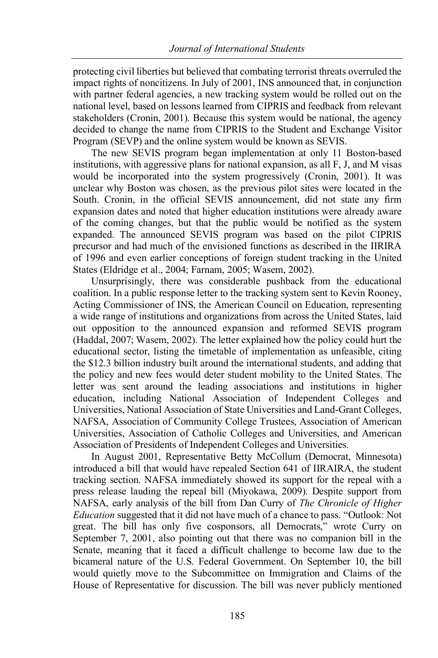protecting civil liberties but believed that combating terrorist threats overruled the impact rights of noncitizens. In July of 2001, INS announced that, in conjunction with partner federal agencies, a new tracking system would be rolled out on the national level, based on lessons learned from CIPRIS and feedback from relevant stakeholders (Cronin, 2001). Because this system would be national, the agency decided to change the name from CIPRIS to the Student and Exchange Visitor Program (SEVP) and the online system would be known as SEVIS.

The new SEVIS program began implementation at only 11 Boston-based institutions, with aggressive plans for national expansion, as all F, J, and M visas would be incorporated into the system progressively (Cronin, 2001). It was unclear why Boston was chosen, as the previous pilot sites were located in the South. Cronin, in the official SEVIS announcement, did not state any firm expansion dates and noted that higher education institutions were already aware of the coming changes, but that the public would be notified as the system expanded. The announced SEVIS program was based on the pilot CIPRIS precursor and had much of the envisioned functions as described in the IIRIRA of 1996 and even earlier conceptions of foreign student tracking in the United States (Eldridge et al., 2004; Farnam, 2005; Wasem, 2002).

Unsurprisingly, there was considerable pushback from the educational coalition. In a public response letter to the tracking system sent to Kevin Rooney, Acting Commissioner of INS, the American Council on Education, representing a wide range of institutions and organizations from across the United States, laid out opposition to the announced expansion and reformed SEVIS program (Haddal, 2007; Wasem, 2002). The letter explained how the policy could hurt the educational sector, listing the timetable of implementation as unfeasible, citing the \$12.3 billion industry built around the international students, and adding that the policy and new fees would deter student mobility to the United States. The letter was sent around the leading associations and institutions in higher education, including National Association of Independent Colleges and Universities, National Association of State Universities and Land-Grant Colleges, NAFSA, Association of Community College Trustees, Association of American Universities, Association of Catholic Colleges and Universities, and American Association of Presidents of Independent Colleges and Universities.

In August 2001, Representative Betty McCollum (Democrat, Minnesota) introduced a bill that would have repealed Section 641 of IIRAIRA, the student tracking section. NAFSA immediately showed its support for the repeal with a press release lauding the repeal bill (Miyokawa, 2009). Despite support from NAFSA, early analysis of the bill from Dan Curry of *The Chronicle of Higher Education* suggested that it did not have much of a chance to pass. "Outlook: Not great. The bill has only five cosponsors, all Democrats," wrote Curry on September 7, 2001, also pointing out that there was no companion bill in the Senate, meaning that it faced a difficult challenge to become law due to the bicameral nature of the U.S. Federal Government. On September 10, the bill would quietly move to the Subcommittee on Immigration and Claims of the House of Representative for discussion. The bill was never publicly mentioned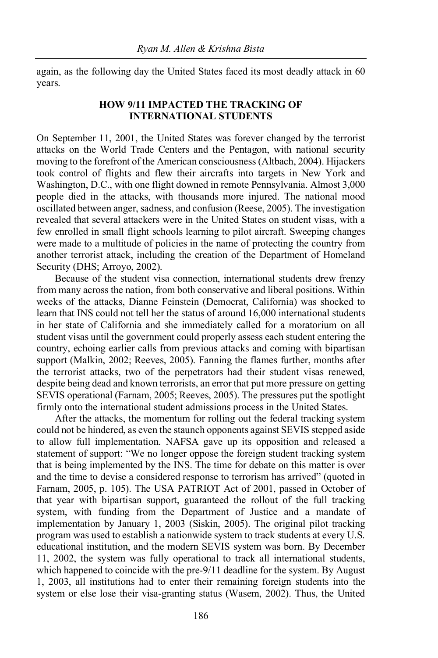again, as the following day the United States faced its most deadly attack in 60 years.

#### **HOW 9/11 IMPACTED THE TRACKING OF INTERNATIONAL STUDENTS**

On September 11, 2001, the United States was forever changed by the terrorist attacks on the World Trade Centers and the Pentagon, with national security moving to the forefront of the American consciousness (Altbach, 2004). Hijackers took control of flights and flew their aircrafts into targets in New York and Washington, D.C., with one flight downed in remote Pennsylvania. Almost 3,000 people died in the attacks, with thousands more injured. The national mood oscillated between anger, sadness, and confusion (Reese, 2005). The investigation revealed that several attackers were in the United States on student visas, with a few enrolled in small flight schools learning to pilot aircraft. Sweeping changes were made to a multitude of policies in the name of protecting the country from another terrorist attack, including the creation of the Department of Homeland Security (DHS; Arroyo, 2002).

Because of the student visa connection, international students drew frenzy from many across the nation, from both conservative and liberal positions. Within weeks of the attacks, Dianne Feinstein (Democrat, California) was shocked to learn that INS could not tell her the status of around 16,000 international students in her state of California and she immediately called for a moratorium on all student visas until the government could properly assess each student entering the country, echoing earlier calls from previous attacks and coming with bipartisan support (Malkin, 2002; Reeves, 2005). Fanning the flames further, months after the terrorist attacks, two of the perpetrators had their student visas renewed, despite being dead and known terrorists, an error that put more pressure on getting SEVIS operational (Farnam, 2005; Reeves, 2005). The pressures put the spotlight firmly onto the international student admissions process in the United States.

After the attacks, the momentum for rolling out the federal tracking system could not be hindered, as even the staunch opponents against SEVIS stepped aside to allow full implementation. NAFSA gave up its opposition and released a statement of support: "We no longer oppose the foreign student tracking system that is being implemented by the INS. The time for debate on this matter is over and the time to devise a considered response to terrorism has arrived" (quoted in Farnam, 2005, p. 105). The USA PATRIOT Act of 2001, passed in October of that year with bipartisan support, guaranteed the rollout of the full tracking system, with funding from the Department of Justice and a mandate of implementation by January 1, 2003 (Siskin, 2005). The original pilot tracking program was used to establish a nationwide system to track students at every U.S. educational institution, and the modern SEVIS system was born. By December 11, 2002, the system was fully operational to track all international students, which happened to coincide with the pre-9/11 deadline for the system. By August 1, 2003, all institutions had to enter their remaining foreign students into the system or else lose their visa-granting status (Wasem, 2002). Thus, the United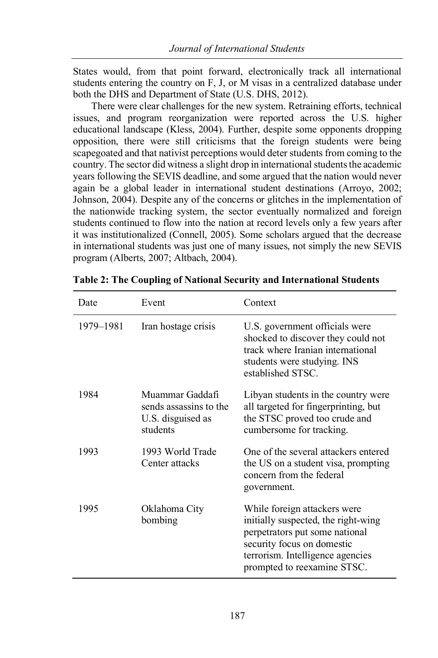States would, from that point forward, electronically track all international students entering the country on F, J, or M visas in a centralized database under both the DHS and Department of State (U.S. DHS, 2012).

There were clear challenges for the new system. Retraining efforts, technical issues, and program reorganization were reported across the U.S. higher educational landscape (Kless, 2004). Further, despite some opponents dropping opposition, there were still criticisms that the foreign students were being scapegoated and that nativist perceptions would deter students from coming to the country. The sector did witness a slight drop in international students the academic years following the SEVIS deadline, and some argued that the nation would never again be a global leader in international student destinations (Arroyo, 2002; Johnson, 2004). Despite any of the concerns or glitches in the implementation of the nationwide tracking system, the sector eventually normalized and foreign students continued to flow into the nation at record levels only a few years after it was institutionalized (Connell, 2005). Some scholars argued that the decrease in international students was just one of many issues, not simply the new SEVIS program (Alberts, 2007; Altbach, 2004).

| Date      | Event                                                                      | Context                                                                                                                                                                                                 |
|-----------|----------------------------------------------------------------------------|---------------------------------------------------------------------------------------------------------------------------------------------------------------------------------------------------------|
| 1979-1981 | Iran hostage crisis                                                        | U.S. government officials were<br>shocked to discover they could not<br>track where Iranian international<br>students were studying. INS<br>established STSC.                                           |
| 1984      | Muammar Gaddafi<br>sends assassins to the<br>U.S. disguised as<br>students | Libyan students in the country were.<br>all targeted for fingerprinting, but<br>the STSC proved too crude and<br>cumbersome for tracking.                                                               |
| 1993      | 1993 World Trade<br>Center attacks                                         | One of the several attackers entered<br>the US on a student visa, prompting<br>concern from the federal<br>government.                                                                                  |
| 1995      | Oklahoma City<br>bombing                                                   | While foreign attackers were.<br>initially suspected, the right-wing<br>perpetrators put some national<br>security focus on domestic<br>terrorism. Intelligence agencies<br>prompted to reexamine STSC. |

**Table 2: The Coupling of National Security and International Students**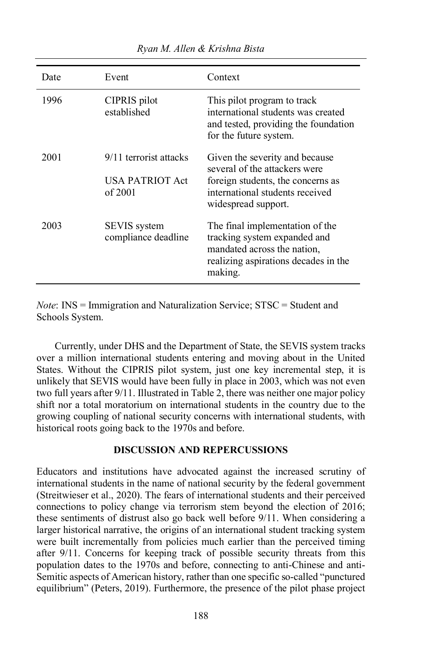| Date | Event                                                | Context                                                                                                                                                        |
|------|------------------------------------------------------|----------------------------------------------------------------------------------------------------------------------------------------------------------------|
| 1996 | CIPRIS pilot<br>established                          | This pilot program to track<br>international students was created<br>and tested, providing the foundation<br>for the future system.                            |
| 2001 | 9/11 terrorist attacks<br>USA PATRIOT Act<br>of 2001 | Given the severity and because<br>several of the attackers were<br>foreign students, the concerns as<br>international students received<br>widespread support. |
| 2003 | SEVIS system<br>compliance deadline                  | The final implementation of the<br>tracking system expanded and<br>mandated across the nation,<br>realizing aspirations decades in the<br>making.              |

*Note*: INS = Immigration and Naturalization Service; STSC = Student and Schools System.

Currently, under DHS and the Department of State, the SEVIS system tracks over a million international students entering and moving about in the United States. Without the CIPRIS pilot system, just one key incremental step, it is unlikely that SEVIS would have been fully in place in 2003, which was not even two full years after 9/11. Illustrated in Table 2, there was neither one major policy shift nor a total moratorium on international students in the country due to the growing coupling of national security concerns with international students, with historical roots going back to the 1970s and before.

#### **DISCUSSION AND REPERCUSSIONS**

Educators and institutions have advocated against the increased scrutiny of international students in the name of national security by the federal government (Streitwieser et al., 2020). The fears of international students and their perceived connections to policy change via terrorism stem beyond the election of 2016; these sentiments of distrust also go back well before 9/11. When considering a larger historical narrative, the origins of an international student tracking system were built incrementally from policies much earlier than the perceived timing after 9/11. Concerns for keeping track of possible security threats from this population dates to the 1970s and before, connecting to anti-Chinese and anti-Semitic aspects of American history, rather than one specific so-called "punctured equilibrium" (Peters, 2019). Furthermore, the presence of the pilot phase project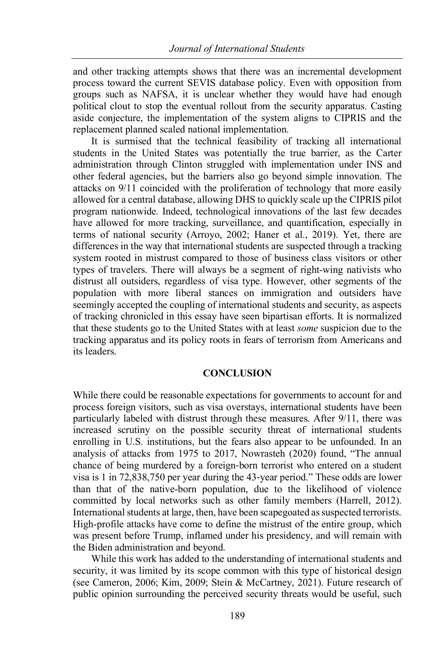and other tracking attempts shows that there was an incremental development process toward the current SEVIS database policy. Even with opposition from groups such as NAFSA, it is unclear whether they would have had enough political clout to stop the eventual rollout from the security apparatus. Casting aside conjecture, the implementation of the system aligns to CIPRIS and the replacement planned scaled national implementation.

It is surmised that the technical feasibility of tracking all international students in the United States was potentially the true barrier, as the Carter administration through Clinton struggled with implementation under INS and other federal agencies, but the barriers also go beyond simple innovation. The attacks on 9/11 coincided with the proliferation of technology that more easily allowed for a central database, allowing DHS to quickly scale up the CIPRIS pilot program nationwide. Indeed, technological innovations of the last few decades have allowed for more tracking, surveillance, and quantification, especially in terms of national security (Arroyo, 2002; Haner et al., 2019). Yet, there are differences in the way that international students are suspected through a tracking system rooted in mistrust compared to those of business class visitors or other types of travelers. There will always be a segment of right-wing nativists who distrust all outsiders, regardless of visa type. However, other segments of the population with more liberal stances on immigration and outsiders have seemingly accepted the coupling of international students and security, as aspects of tracking chronicled in this essay have seen bipartisan efforts. It is normalized that these students go to the United States with at least *some* suspicion due to the tracking apparatus and its policy roots in fears of terrorism from Americans and its leaders.

#### **CONCLUSION**

While there could be reasonable expectations for governments to account for and process foreign visitors, such as visa overstays, international students have been particularly labeled with distrust through these measures. After 9/11, there was increased scrutiny on the possible security threat of international students enrolling in U.S. institutions, but the fears also appear to be unfounded. In an analysis of attacks from 1975 to 2017, Nowrasteh (2020) found, "The annual chance of being murdered by a foreign-born terrorist who entered on a student visa is 1 in 72,838,750 per year during the 43-year period." These odds are lower than that of the native-born population, due to the likelihood of violence committed by local networks such as other family members (Harrell, 2012). International students at large, then, have been scapegoated as suspected terrorists. High-profile attacks have come to define the mistrust of the entire group, which was present before Trump, inflamed under his presidency, and will remain with the Biden administration and beyond.

While this work has added to the understanding of international students and security, it was limited by its scope common with this type of historical design (see Cameron, 2006; Kim, 2009; Stein & McCartney, 2021). Future research of public opinion surrounding the perceived security threats would be useful, such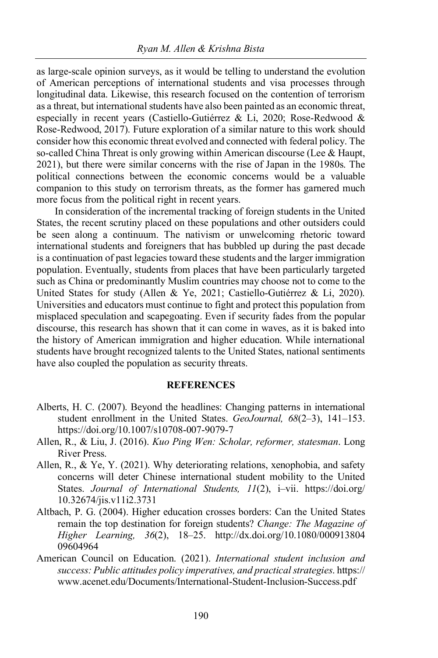as large-scale opinion surveys, as it would be telling to understand the evolution of American perceptions of international students and visa processes through longitudinal data. Likewise, this research focused on the contention of terrorism as a threat, but international students have also been painted as an economic threat, especially in recent years (Castiello-Gutiérrez & Li, 2020; Rose-Redwood & Rose-Redwood, 2017). Future exploration of a similar nature to this work should consider how this economic threat evolved and connected with federal policy. The so-called China Threat is only growing within American discourse (Lee & Haupt, 2021), but there were similar concerns with the rise of Japan in the 1980s. The political connections between the economic concerns would be a valuable companion to this study on terrorism threats, as the former has garnered much more focus from the political right in recent years.

In consideration of the incremental tracking of foreign students in the United States, the recent scrutiny placed on these populations and other outsiders could be seen along a continuum. The nativism or unwelcoming rhetoric toward international students and foreigners that has bubbled up during the past decade is a continuation of past legacies toward these students and the larger immigration population. Eventually, students from places that have been particularly targeted such as China or predominantly Muslim countries may choose not to come to the United States for study (Allen & Ye, 2021; Castiello-Gutiérrez & Li, 2020). Universities and educators must continue to fight and protect this population from misplaced speculation and scapegoating. Even if security fades from the popular discourse, this research has shown that it can come in waves, as it is baked into the history of American immigration and higher education. While international students have brought recognized talents to the United States, national sentiments have also coupled the population as security threats.

#### **REFERENCES**

- Alberts, H. C. (2007). Beyond the headlines: Changing patterns in international student enrollment in the United States. *GeoJournal, 68*(2–3), 141–153. https://doi.org/10.1007/s10708-007-9079-7
- Allen, R., & Liu, J. (2016). *Kuo Ping Wen: Scholar, reformer, statesman*. Long River Press.
- Allen, R., & Ye, Y. (2021). Why deteriorating relations, xenophobia, and safety concerns will deter Chinese international student mobility to the United States. *Journal of International Students, 11*(2), i–vii. https://doi.org/ 10.32674/jis.v11i2.3731
- Altbach, P. G. (2004). Higher education crosses borders: Can the United States remain the top destination for foreign students? *Change: The Magazine of Higher Learning, 36*(2), 18–25. http://dx.doi.org/10.1080/000913804 09604964
- American Council on Education. (2021). *International student inclusion and success: Public attitudes policy imperatives, and practical strategies*. https:// www.acenet.edu/Documents/International-Student-Inclusion-Success.pdf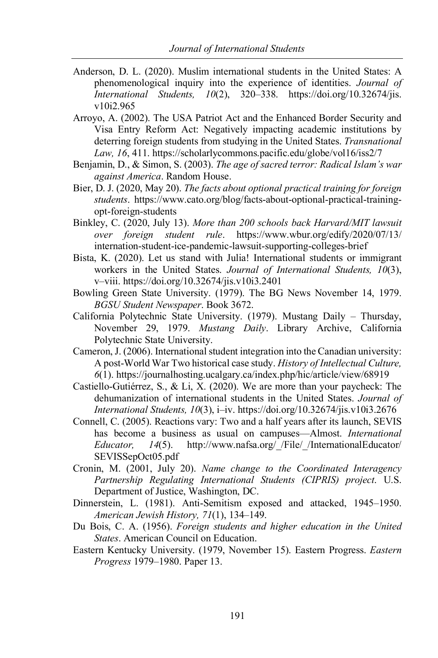- Anderson, D. L. (2020). Muslim international students in the United States: A phenomenological inquiry into the experience of identities. *Journal of International Students, 10*(2), 320–338. https://doi.org/10.32674/jis. v10i2.965
- Arroyo, A. (2002). The USA Patriot Act and the Enhanced Border Security and Visa Entry Reform Act: Negatively impacting academic institutions by deterring foreign students from studying in the United States. *Transnational Law, 16*, 411. https://scholarlycommons.pacific.edu/globe/vol16/iss2/7
- Benjamin, D., & Simon, S. (2003). *The age of sacred terror: Radical Islam's war against America*. Random House.
- Bier, D. J. (2020, May 20). *The facts about optional practical training for foreign students*. https://www.cato.org/blog/facts-about-optional-practical-trainingopt-foreign-students
- Binkley, C. (2020, July 13). *More than 200 schools back Harvard/MIT lawsuit over foreign student rule*. https://www.wbur.org/edify/2020/07/13/ internation-student-ice-pandemic-lawsuit-supporting-colleges-brief
- Bista, K. (2020). Let us stand with Julia! International students or immigrant workers in the United States. *Journal of International Students, 10*(3), v–viii. https://doi.org/10.32674/jis.v10i3.2401
- Bowling Green State University. (1979). The BG News November 14, 1979. *BGSU Student Newspaper*. Book 3672.
- California Polytechnic State University. (1979). Mustang Daily Thursday, November 29, 1979. *Mustang Daily*. Library Archive, California Polytechnic State University.
- Cameron, J. (2006). International student integration into the Canadian university: A post-World War Two historical case study. *History of Intellectual Culture, 6*(1). https://journalhosting.ucalgary.ca/index.php/hic/article/view/68919
- Castiello-Gutiérrez, S., & Li, X. (2020). We are more than your paycheck: The dehumanization of international students in the United States. *Journal of International Students, 10*(3), i–iv. https://doi.org/10.32674/jis.v10i3.2676
- Connell, C. (2005). Reactions vary: Two and a half years after its launch, SEVIS has become a business as usual on campuses—Almost. *International Educator, 14*(5). http://www.nafsa.org/\_/File/\_/InternationalEducator/ SEVISSepOct05.pdf
- Cronin, M. (2001, July 20). *Name change to the Coordinated Interagency Partnership Regulating International Students (CIPRIS) project*. U.S. Department of Justice, Washington, DC.
- Dinnerstein, L. (1981). Anti-Semitism exposed and attacked, 1945–1950. *American Jewish History, 71*(1), 134–149.
- Du Bois, C. A. (1956). *Foreign students and higher education in the United States*. American Council on Education.
- Eastern Kentucky University. (1979, November 15). Eastern Progress. *Eastern Progress* 1979–1980. Paper 13.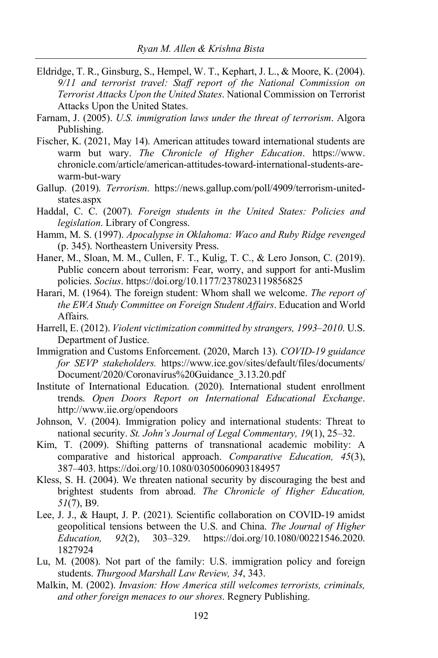- Eldridge, T. R., Ginsburg, S., Hempel, W. T., Kephart, J. L., & Moore, K. (2004). *9/11 and terrorist travel: Staff report of the National Commission on Terrorist Attacks Upon the United States*. National Commission on Terrorist Attacks Upon the United States.
- Farnam, J. (2005). *U.S. immigration laws under the threat of terrorism*. Algora Publishing.
- Fischer, K. (2021, May 14). American attitudes toward international students are warm but wary. *The Chronicle of Higher Education*. https://www. chronicle.com/article/american-attitudes-toward-international-students-arewarm-but-wary
- Gallup. (2019). *Terrorism*. https://news.gallup.com/poll/4909/terrorism-unitedstates.aspx
- Haddal, C. C. (2007). *Foreign students in the United States: Policies and legislation*. Library of Congress.
- Hamm, M. S. (1997). *Apocalypse in Oklahoma: Waco and Ruby Ridge revenged* (p. 345). Northeastern University Press.
- Haner, M., Sloan, M. M., Cullen, F. T., Kulig, T. C., & Lero Jonson, C. (2019). Public concern about terrorism: Fear, worry, and support for anti-Muslim policies. *Socius*. https://doi.org/10.1177/2378023119856825
- Harari, M. (1964). The foreign student: Whom shall we welcome. *The report of the EWA Study Committee on Foreign Student Affairs*. Education and World Affairs.
- Harrell, E. (2012). *Violent victimization committed by strangers, 1993–2010*. U.S. Department of Justice.
- Immigration and Customs Enforcement. (2020, March 13). *COVID-19 guidance for SEVP stakeholders.* https://www.ice.gov/sites/default/files/documents/ Document/2020/Coronavirus%20Guidance\_3.13.20.pdf
- Institute of International Education. (2020). International student enrollment trends. *Open Doors Report on International Educational Exchange*. http://www.iie.org/opendoors
- Johnson, V. (2004). Immigration policy and international students: Threat to national security. *St. John's Journal of Legal Commentary, 19*(1), 25–32.
- Kim, T. (2009). Shifting patterns of transnational academic mobility: A comparative and historical approach. *Comparative Education, 45*(3), 387–403. https://doi.org/10.1080/03050060903184957
- Kless, S. H. (2004). We threaten national security by discouraging the best and brightest students from abroad. *The Chronicle of Higher Education, 51*(7), B9.
- Lee, J. J., & Haupt, J. P. (2021). Scientific collaboration on COVID-19 amidst geopolitical tensions between the U.S. and China. *The Journal of Higher Education, 92*(2), 303–329. https://doi.org/10.1080/00221546.2020. 1827924
- Lu, M. (2008). Not part of the family: U.S. immigration policy and foreign students. *Thurgood Marshall Law Review, 34*, 343.
- Malkin, M. (2002). *Invasion: How America still welcomes terrorists, criminals, and other foreign menaces to our shores*. Regnery Publishing.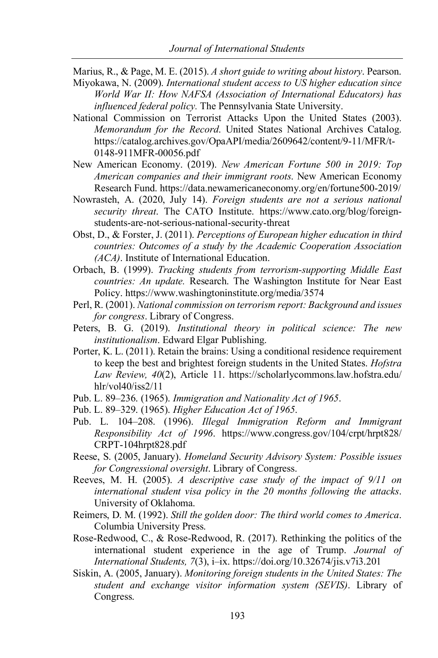- Marius, R., & Page, M. E. (2015). *A short guide to writing about history*. Pearson.
- Miyokawa, N. (2009). *International student access to US higher education since World War II: How NAFSA (Association of International Educators) has influenced federal policy.* The Pennsylvania State University.
- National Commission on Terrorist Attacks Upon the United States (2003). *Memorandum for the Record*. United States National Archives Catalog. https://catalog.archives.gov/OpaAPI/media/2609642/content/9-11/MFR/t-0148-911MFR-00056.pdf
- New American Economy. (2019). *New American Fortune 500 in 2019: Top American companies and their immigrant roots*. New American Economy Research Fund. https://data.newamericaneconomy.org/en/fortune500-2019/
- Nowrasteh, A. (2020, July 14). *Foreign students are not a serious national security threat*. The CATO Institute. https://www.cato.org/blog/foreignstudents-are-not-serious-national-security-threat
- Obst, D., & Forster, J. (2011). *Perceptions of European higher education in third countries: Outcomes of a study by the Academic Cooperation Association (ACA)*. Institute of International Education.
- Orbach, B. (1999). *Tracking students from terrorism-supporting Middle East countries: An update.* Research. The Washington Institute for Near East Policy. https://www.washingtoninstitute.org/media/3574
- Perl, R. (2001). *National commission on terrorism report: Background and issues for congress*. Library of Congress.
- Peters, B. G. (2019). *Institutional theory in political science: The new institutionalism*. Edward Elgar Publishing.
- Porter, K. L. (2011). Retain the brains: Using a conditional residence requirement to keep the best and brightest foreign students in the United States. *Hofstra Law Review, 40*(2), Article 11. https://scholarlycommons.law.hofstra.edu/ hlr/vol40/iss2/11
- Pub. L. 89–236. (1965). *Immigration and Nationality Act of 1965*.
- Pub. L. 89–329. (1965). *Higher Education Act of 1965*.
- Pub. L. 104–208. (1996). *Illegal Immigration Reform and Immigrant Responsibility Act of 1996*. https://www.congress.gov/104/crpt/hrpt828/ CRPT-104hrpt828.pdf
- Reese, S. (2005, January). *Homeland Security Advisory System: Possible issues for Congressional oversight*. Library of Congress.
- Reeves, M. H. (2005). *A descriptive case study of the impact of 9/11 on international student visa policy in the 20 months following the attacks*. University of Oklahoma.
- Reimers, D. M. (1992). *Still the golden door: The third world comes to America*. Columbia University Press.
- Rose-Redwood, C., & Rose-Redwood, R. (2017). Rethinking the politics of the international student experience in the age of Trump. *Journal of International Students, 7*(3), i–ix. https://doi.org/10.32674/jis.v7i3.201
- Siskin, A. (2005, January). *Monitoring foreign students in the United States: The student and exchange visitor information system (SEVIS)*. Library of Congress.